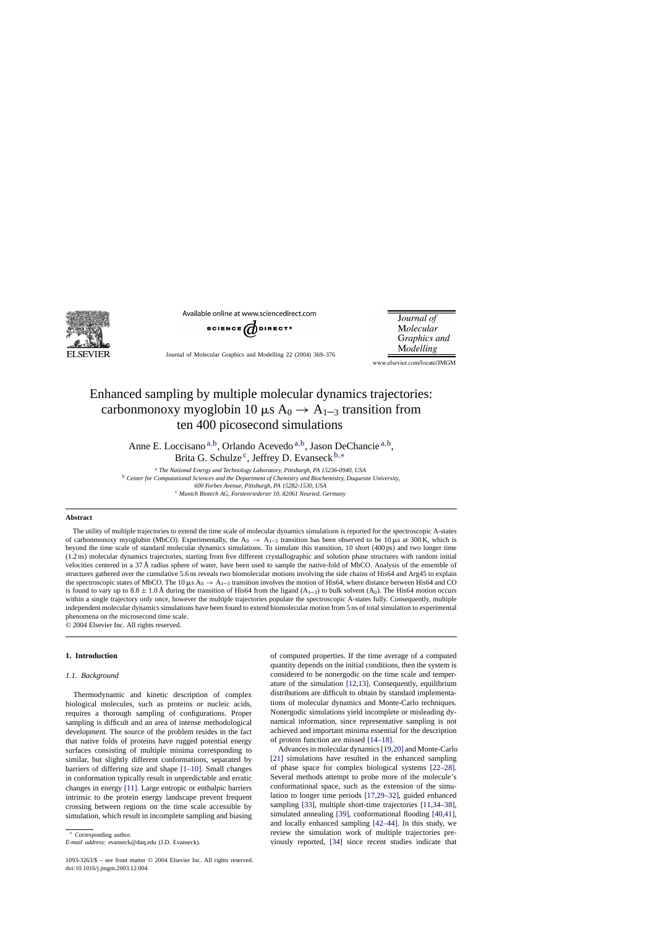

Available online at www.sciencedirect.com



**Journal** of Molecular Graphics and Modelling

Journal of Molecular Graphics and Modelling 22 (2004) 369–376

www.elsevier.com/locate/JMGM

# Enhanced sampling by multiple molecular dynamics trajectories: carbonmonoxy myoglobin 10  $\mu$ s A<sub>0</sub>  $\rightarrow$  A<sub>1–3</sub> transition from ten 400 picosecond simulations

Anne E. Loccisano a,b, Orlando Acevedo a,b, Jason DeChancie a,b, Brita G. Schulze<sup>c</sup>, Jeffrey D. Evanseck  $b,*$ 

<sup>a</sup> *The National Energy and Technology Laboratory, Pittsburgh, PA 15236-0940, USA* <sup>b</sup> *Center for Computational Sciences and the Department of Chemistry and Biochemistry, Duquesne University, 600 Forbes Avenue, Pittsburgh, PA 15282-1530, USA* <sup>c</sup> *Munich Biotech AG, Forstenriederstr 10, 82061 Neuried, Germany*

#### **Abstract**

The utility of multiple trajectories to extend the time scale of molecular dynamics simulations is reported for the spectroscopic A-states of carbonmonoxy myoglobin (MbCO). Experimentally, the  $A_0 \rightarrow A_{1-3}$  transition has been observed to be 10  $\mu$ s at 300 K, which is beyond the time scale of standard molecular dynamics simulations. To simulate this transition, 10 short (400 ps) and two longer time (1.2 ns) molecular dynamics trajectories, starting from five different crystallographic and solution phase structures with random initial velocities centered in a 37 Å radius sphere of water, have been used to sample the native-fold of MbCO. Analysis of the ensemble of structures gathered over the cumulative 5.6 ns reveals two biomolecular motions involving the side chains of His64 and Arg45 to explain the spectroscopic states of MbCO. The 10  $\mu$ s A<sub>0</sub>  $\rightarrow$  A<sub>1–3</sub> transition involves the motion of His64, where distance between His64 and CO is found to vary up to  $8.8 \pm 1.0$  Å during the transition of His64 from the ligand (A<sub>1-3</sub>) to bulk solvent (A<sub>0</sub>). The His64 motion occurs within a single trajectory only once, however the multiple trajectories populate the spectroscopic A-states fully. Consequently, multiple independent molecular dynamics simulations have been found to extend biomolecular motion from 5 ns of total simulation to experimental phenomena on the microsecond time scale.

© 2004 Elsevier Inc. All rights reserved.

# **1. Introduction**

## *1.1. Background*

Thermodynamic and kinetic description of complex biological molecules, such as proteins or nucleic acids, requires a thorough sampling of configurations. Proper sampling is difficult and an area of intense methodological development. The source of the problem resides in the fact that native folds of proteins have rugged potential energy surfaces consisting of multiple minima corresponding to similar, but slightly different conformations, separated by barriers of differing size and shape [\[1–10\].](#page-5-0) Small changes in conformation typically result in unpredictable and erratic changes in energy [\[11\].](#page-5-0) Large entropic or enthalpic barriers intrinsic to the protein energy landscape prevent frequent crossing between regions on the time scale accessible by simulation, which result in incomplete sampling and biasing of computed properties. If the time average of a computed quantity depends on the initial conditions, then the system is considered to be nonergodic on the time scale and temperature of the simulation [\[12,13\].](#page-5-0) Consequently, equilibrium distributions are difficult to obtain by standard implementations of molecular dynamics and Monte-Carlo techniques. Nonergodic simulations yield incomplete or misleading dynamical information, since representative sampling is not achieved and important minima essential for the description of protein function are missed [\[14–18\].](#page-5-0)

Advances in molecular dynamics[\[19,20\]](#page-5-0) and Monte-Carlo [\[21\]](#page-5-0) simulations have resulted in the enhanced sampling of phase space for complex biological systems [\[22–28\].](#page-5-0) Several methods attempt to probe more of the molecule's conformational space, such as the extension of the simulation to longer time periods [\[17,29–32\],](#page-5-0) guided enhanced sampling [\[33\],](#page-5-0) multiple short-time trajectories [\[11,34–38\],](#page-5-0) simulated annealing [\[39\],](#page-6-0) conformational flooding [\[40,41\],](#page-6-0) and locally enhanced sampling [\[42–44\].](#page-6-0) In this study, we review the simulation work of multiple trajectories previously reported, [\[34\]](#page-5-0) since recent studies indicate that

<sup>∗</sup> Corresponding author.

*E-mail address:* evanseck@duq.edu (J.D. Evanseck).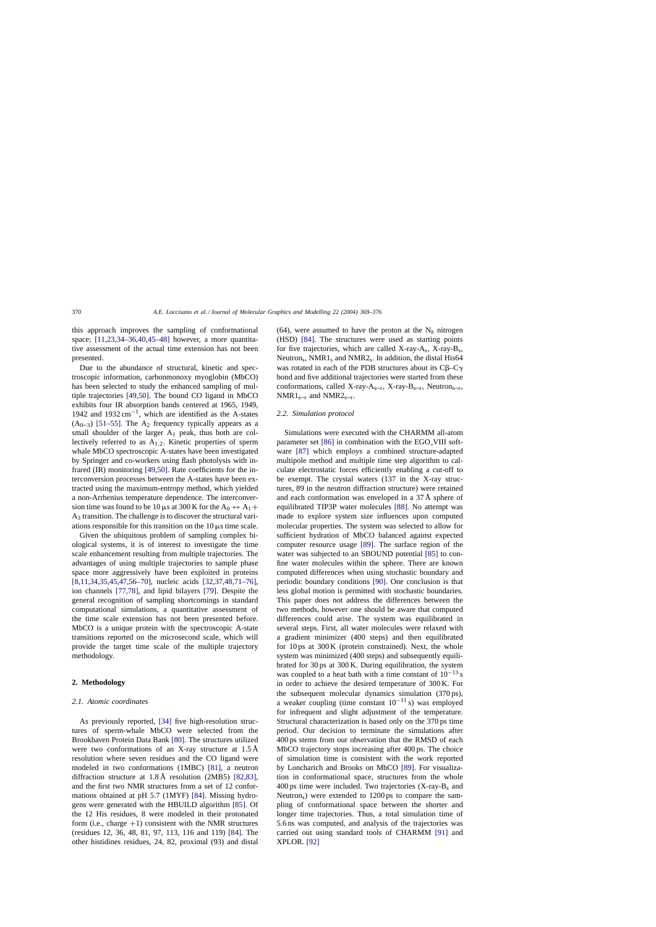this approach improves the sampling of conformational space; [\[11,23,34–36,40,45–48\]](#page-5-0) however, a more quantitative assessment of the actual time extension has not been presented.

Due to the abundance of structural, kinetic and spectroscopic information, carbonmonoxy myoglobin (MbCO) has been selected to study the enhanced sampling of multiple trajectories [\[49,50\].](#page-6-0) The bound CO ligand in MbCO exhibits four IR absorption bands centered at 1965, 1949, 1942 and 1932 cm<sup>-1</sup>, which are identified as the A-states  $(A<sub>0-3</sub>)$  [\[51–55\].](#page-6-0) The A<sub>2</sub> frequency typically appears as a small shoulder of the larger  $A_1$  peak, thus both are collectively referred to as  $A_{1,2}$ . Kinetic properties of sperm whale MbCO spectroscopic A-states have been investigated by Springer and co-workers using flash photolysis with infrared (IR) monitoring [\[49,50\].](#page-6-0) Rate coefficients for the interconversion processes between the A-states have been extracted using the maximum-entropy method, which yielded a non-Arrhenius temperature dependence. The interconversion time was found to be 10  $\mu$ s at 300 K for the A<sub>0</sub>  $\leftrightarrow$  A<sub>1</sub> + A3 transition. The challenge is to discover the structural variations responsible for this transition on the  $10 \mu s$  time scale.

Given the ubiquitous problem of sampling complex biological systems, it is of interest to investigate the time scale enhancement resulting from multiple trajectories. The advantages of using multiple trajectories to sample phase space more aggressively have been exploited in proteins [\[8,11,34,35,45,47,56–70\],](#page-5-0) nucleic acids [\[32,37,48,71–76\],](#page-5-0) ion channels [\[77,78\],](#page-6-0) and lipid bilayers [\[79\].](#page-6-0) Despite the general recognition of sampling shortcomings in standard computational simulations, a quantitative assessment of the time scale extension has not been presented before. MbCO is a unique protein with the spectroscopic A-state transitions reported on the microsecond scale, which will provide the target time scale of the multiple trajectory methodology.

# **2. Methodology**

#### *2.1. Atomic coordinates*

As previously reported, [\[34\]](#page-5-0) five high-resolution structures of sperm-whale MbCO were selected from the Brookhaven Protein Data Bank [\[80\].](#page-6-0) The structures utilized were two conformations of an X-ray structure at 1.5 Å resolution where seven residues and the CO ligand were modeled in two conformations (1MBC) [\[81\],](#page-6-0) a neutron diffraction structure at 1.8 Å resolution (2MB5) [\[82,83\],](#page-6-0) and the first two NMR structures from a set of 12 conformations obtained at pH 5.7 (1MYF) [\[84\].](#page-6-0) Missing hydrogens were generated with the HBUILD algorithm [\[85\].](#page-6-0) Of the 12 His residues, 8 were modeled in their protonated form (i.e., charge  $+1$ ) consistent with the NMR structures (residues 12, 36, 48, 81, 97, 113, 116 and 119) [\[84\].](#page-6-0) The other histidines residues, 24, 82, proximal (93) and distal

(64), were assumed to have the proton at the  $N_{\delta}$  nitrogen (HSD) [\[84\].](#page-6-0) The structures were used as starting points for five trajectories, which are called X-ray-A<sub>s</sub>, X-ray-B<sub>s</sub>, Neutron<sub>s</sub>, NMR1<sub>s</sub> and NMR2<sub>s</sub>. In addition, the distal His64 was rotated in each of the PDB structures about its  $C\beta-C\gamma$ bond and five additional trajectories were started from these conformations, called X-ray- $A_{s-r}$ , X-ray- $B_{s-r}$ , Neutron<sub>s-r</sub>,  $NMR1_{s-r}$  and  $NMR2_{s-r}$ .

## *2.2. Simulation protocol*

Simulations were executed with the CHARMM all-atom parameter set [\[86\]](#page-6-0) in combination with the EGO VIII software [\[87\]](#page-6-0) which employs a combined structure-adapted multipole method and multiple time step algorithm to calculate electrostatic forces efficiently enabling a cut-off to be exempt. The crystal waters (137 in the X-ray structures, 89 in the neutron diffraction structure) were retained and each conformation was enveloped in a 37 Å sphere of equilibrated TIP3P water molecules [\[88\].](#page-6-0) No attempt was made to explore system size influences upon computed molecular properties. The system was selected to allow for sufficient hydration of MbCO balanced against expected computer resource usage [\[89\].](#page-6-0) The surface region of the water was subjected to an SBOUND potential [\[85\]](#page-6-0) to confine water molecules within the sphere. There are known computed differences when using stochastic boundary and periodic boundary conditions [\[90\].](#page-6-0) One conclusion is that less global motion is permitted with stochastic boundaries. This paper does not address the differences between the two methods, however one should be aware that computed differences could arise. The system was equilibrated in several steps. First, all water molecules were relaxed with a gradient minimizer (400 steps) and then equilibrated for 10 ps at 300 K (protein constrained). Next, the whole system was minimized (400 steps) and subsequently equilibrated for 30 ps at 300 K. During equilibration, the system was coupled to a heat bath with a time constant of  $10^{-13}$  s in order to achieve the desired temperature of 300 K. For the subsequent molecular dynamics simulation (370 ps), a weaker coupling (time constant  $10^{-11}$  s) was employed for infrequent and slight adjustment of the temperature. Structural characterization is based only on the 370 ps time period. Our decision to terminate the simulations after 400 ps stems from our observation that the RMSD of each MbCO trajectory stops increasing after 400 ps. The choice of simulation time is consistent with the work reported by Loncharich and Brooks on MbCO [\[89\].](#page-6-0) For visualization in conformational space, structures from the whole 400 ps time were included. Two trajectories  $(X-ray-B<sub>s</sub>$  and Neutrons) were extended to 1200 ps to compare the sampling of conformational space between the shorter and longer time trajectories. Thus, a total simulation time of 5.6 ns was computed, and analysis of the trajectories was carried out using standard tools of CHARMM [\[91\]](#page-6-0) and XPLOR. [\[92\]](#page-6-0)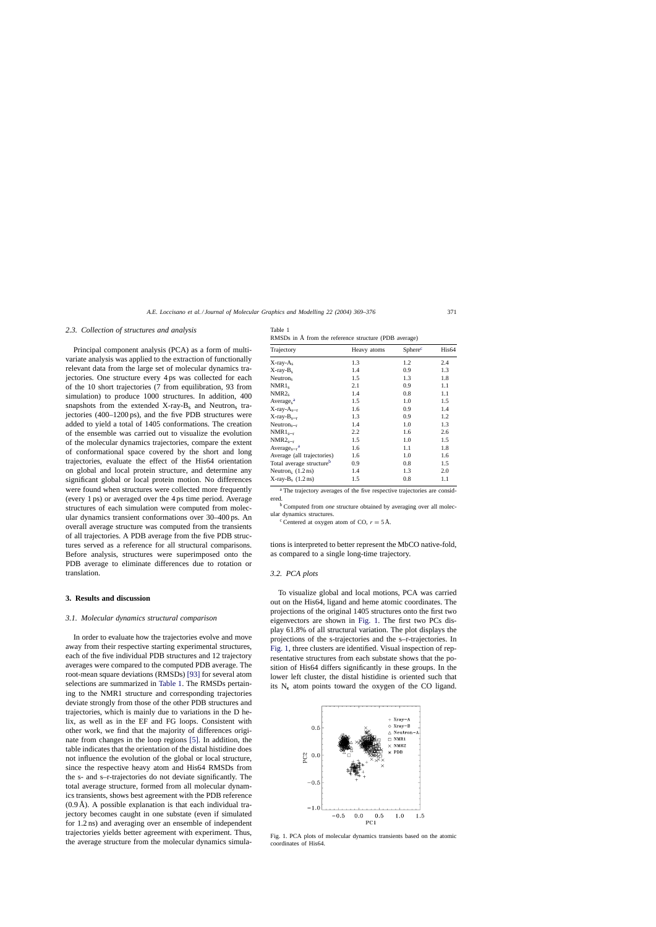#### <span id="page-2-0"></span>*2.3. Collection of structures and analysis*

Principal component analysis (PCA) as a form of multivariate analysis was applied to the extraction of functionally relevant data from the large set of molecular dynamics trajectories. One structure every 4 ps was collected for each of the 10 short trajectories (7 from equilibration, 93 from simulation) to produce 1000 structures. In addition, 400 snapshots from the extended  $X$ -ray- $B_s$  and Neutron<sub>s</sub> trajectories (400–1200 ps), and the five PDB structures were added to yield a total of 1405 conformations. The creation of the ensemble was carried out to visualize the evolution of the molecular dynamics trajectories, compare the extent of conformational space covered by the short and long trajectories, evaluate the effect of the His64 orientation on global and local protein structure, and determine any significant global or local protein motion. No differences were found when structures were collected more frequently (every 1 ps) or averaged over the 4 ps time period. Average structures of each simulation were computed from molecular dynamics transient conformations over 30–400 ps. An overall average structure was computed from the transients of all trajectories. A PDB average from the five PDB structures served as a reference for all structural comparisons. Before analysis, structures were superimposed onto the PDB average to eliminate differences due to rotation or translation.

## **3. Results and discussion**

#### *3.1. Molecular dynamics structural comparison*

In order to evaluate how the trajectories evolve and move away from their respective starting experimental structures, each of the five individual PDB structures and 12 trajectory averages were compared to the computed PDB average. The root-mean square deviations (RMSDs) [\[93\]](#page-6-0) for several atom selections are summarized in Table 1. The RMSDs pertaining to the NMR1 structure and corresponding trajectories deviate strongly from those of the other PDB structures and trajectories, which is mainly due to variations in the D helix, as well as in the EF and FG loops. Consistent with other work, we find that the majority of differences originate from changes in the loop regions [\[5\].](#page-5-0) In addition, the table indicates that the orientation of the distal histidine does not influence the evolution of the global or local structure, since the respective heavy atom and His64 RMSDs from the s- and s–r-trajectories do not deviate significantly. The total average structure, formed from all molecular dynamics transients, shows best agreement with the PDB reference  $(0.9 \text{ Å})$ . A possible explanation is that each individual trajectory becomes caught in one substate (even if simulated for 1.2 ns) and averaging over an ensemble of independent trajectories yields better agreement with experiment. Thus, the average structure from the molecular dynamics simula-

| Table 1 |                                                       |  |
|---------|-------------------------------------------------------|--|
|         | RMSDs in Å from the reference structure (PDB average) |  |

| Trajectory                            | Heavy atoms | Sphere <sup>c</sup> | His64 |
|---------------------------------------|-------------|---------------------|-------|
| $X$ -ray- $A_s$                       | 1.3         | 1.2                 | 2.4   |
| $X$ -ray- $B_s$                       | 1.4         | 0.9                 | 1.3   |
| Neutron <sub>s</sub>                  | 1.5         | 1.3                 | 1.8   |
| $NMR1_s$                              | 2.1         | 0.9                 | 1.1   |
| $NMR2_s$                              | 1.4         | 0.8                 | 1.1   |
| Average <sub>s</sub> <sup>a</sup>     | 1.5         | 1.0                 | 1.5   |
| $X$ -ray- $A_{s-r}$                   | 1.6         | 0.9                 | 1.4   |
| $X$ -ray- $B_{s-r}$                   | 1.3         | 0.9                 | 1.2   |
| $Neutrons-r$                          | 1.4         | 1.0                 | 1.3   |
| $NMR1_{s-r}$                          | 2.2         | 1.6                 | 2.6   |
| $NMR2s-r$                             | 1.5         | 1.0                 | 1.5   |
| Average <sub>s-<math>r^a</math></sub> | 1.6         | 1.1                 | 1.8   |
| Average (all trajectories)            | 1.6         | 1.0                 | 1.6   |
| Total average structure <sup>b</sup>  | 0.9         | 0.8                 | 1.5   |
| Neutron, $(1.2 \text{ ns})$           | 1.4         | 1.3                 | 2.0   |
| $X-ray-Bs$ (1.2 ns)                   | 1.5         | 0.8                 | 1.1   |

<sup>a</sup> The trajectory averages of the five respective trajectories are consid-

ered.<br><sup>b</sup> Computed from *one* structure obtained by averaging over all molecular dynamics structures.

<sup>c</sup> Centered at oxygen atom of CO,  $r = 5 \text{ Å}$ .

tions is interpreted to better represent the MbCO native-fold, as compared to a single long-time trajectory.

# *3.2. PCA plots*

To visualize global and local motions, PCA was carried out on the His64, ligand and heme atomic coordinates. The projections of the original 1405 structures onto the first two eigenvectors are shown in Fig. 1. The first two PCs display 61.8% of all structural variation. The plot displays the projections of the s-trajectories and the s–r-trajectories. In Fig. 1, three clusters are identified. Visual inspection of representative structures from each substate shows that the position of His64 differs significantly in these groups. In the lower left cluster, the distal histidine is oriented such that its  $N_{\epsilon}$  atom points toward the oxygen of the CO ligand.



Fig. 1. PCA plots of molecular dynamics transients based on the atomic coordinates of His64.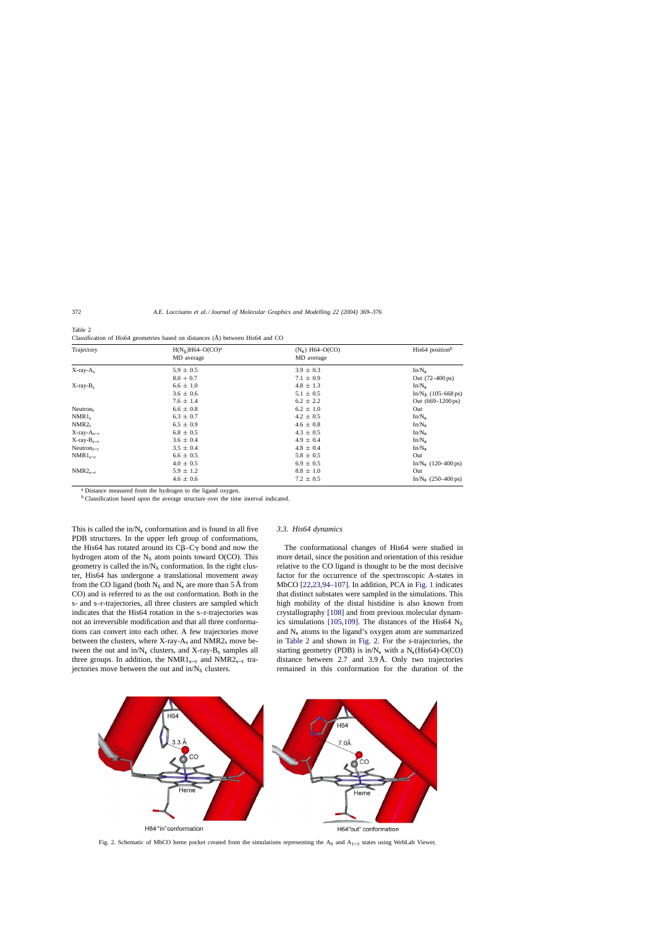<span id="page-3-0"></span>

| Table 2                                                                        |  |
|--------------------------------------------------------------------------------|--|
| Classification of His64 geometries based on distances (Å) between His64 and CO |  |

| Trajectory           | $H(N_\delta)H64-O(CO)^a$<br>MD average | $(N_e)$ H64–O(CO)<br>MD average | His64 position <sup>b</sup>                        |
|----------------------|----------------------------------------|---------------------------------|----------------------------------------------------|
| $X$ -ray- $A_s$      | $5.9 \pm 0.5$                          | $3.9 \pm 0.3$                   | $In/N_{\epsilon}$                                  |
|                      | $8.0 + 0.7$                            | $7.1 \pm 0.9$                   | Out (72–400 ps)                                    |
| $X$ -ray- $B_s$      | $6.6 \pm 1.0$                          | $4.8 \pm 1.3$                   | $In/N_{\epsilon}$                                  |
|                      | $3.6 \pm 0.6$                          | $5.1 \pm 0.5$                   | $In/N_{\delta}$ (105–668 ps)                       |
|                      | $7.6 \pm 1.4$                          | $6.2 \pm 2.2$                   | Out $(669 - 1200 \text{ ps})$                      |
| Neutron <sub>s</sub> | $6.6 \pm 0.8$                          | $6.2 \pm 1.0$                   | Out                                                |
| $NMR1_s$             | $6.3 \pm 0.7$                          | $4.2 \pm 0.5$                   | $In/N_{\epsilon}$                                  |
| NMR2 <sub>s</sub>    | $6.5 \pm 0.9$                          | $4.6 \pm 0.8$                   | $In/N_{\epsilon}$                                  |
| $X$ -ray- $A_{s-r}$  | $6.8 \pm 0.5$                          | $4.3 \pm 0.5$                   | $In/N_{\epsilon}$                                  |
| $X$ -ray- $B_{s-r}$  | $3.6 \pm 0.4$                          | $4.9 \pm 0.4$                   | $In/N_{\epsilon}$                                  |
| $Neutrons-r$         | $3.5 \pm 0.4$                          | $4.8 \pm 0.4$                   | $In/N_{\epsilon}$                                  |
| $NMR1_{s-r}$         | $6.6 \pm 0.5$                          | $5.8 \pm 0.5$                   | Out                                                |
|                      | $4.0 \pm 0.5$                          | $6.9 \pm 0.5$                   | In/N <sub><math>\epsilon</math></sub> (120–400 ps) |
| $NMR2_{s-r}$         | $5.9 \pm 1.2$                          | $8.8 \pm 1.0$                   | Out                                                |
|                      | $4.6 \pm 0.6$                          | $7.2 \pm 0.5$                   | In/N <sub><math>\epsilon</math></sub> (250–400 ps) |

<sup>a</sup> Distance measured from the hydrogen to the ligand oxygen.

<sup>b</sup> Classification based upon the average structure over the time interval indicated.

This is called the in/ $N_{\epsilon}$  conformation and is found in all five PDB structures. In the upper left group of conformations, the His64 has rotated around its  $C\beta$ – $C\gamma$  bond and now the hydrogen atom of the  $N_{\delta}$  atom points toward O(CO). This geometry is called the in/ $N_{\delta}$  conformation. In the right cluster, His64 has undergone a translational movement away from the CO ligand (both  $N_{\delta}$  and  $N_{\epsilon}$  are more than 5 Å from CO) and is referred to as the out conformation. Both in the s- and s–r-trajectories, all three clusters are sampled which indicates that the His64 rotation in the s–r-trajectories was not an irreversible modification and that all three conformations can convert into each other. A few trajectories move between the clusters, where  $X$ -ray- $A_s$  and  $NMR2_s$  move between the out and in/ $N_{\epsilon}$  clusters, and X-ray-B<sub>s</sub> samples all three groups. In addition, the NMR1<sub>s–r</sub> and NMR2<sub>s–r</sub> trajectories move between the out and  $in/N_{\delta}$  clusters.

## *3.3. His64 dynamics*

The conformational changes of His64 were studied in more detail, since the position and orientation of this residue relative to the CO ligand is thought to be the most decisive factor for the occurrence of the spectroscopic A-states in MbCO [\[22,23,94–107\].](#page-5-0) In addition, PCA in [Fig. 1](#page-2-0) indicates that distinct substates were sampled in the simulations. This high mobility of the distal histidine is also known from crystallography [\[108\]](#page-6-0) and from previous molecular dynam-ics simulations [\[105,109\].](#page-6-0) The distances of the His64  $N_{\delta}$ and  $N_{\epsilon}$  atoms to the ligand's oxygen atom are summarized in Table 2 and shown in Fig. 2. For the *s*-trajectories, the starting geometry (PDB) is in/ $N_{\epsilon}$  with a  $N_{\epsilon}$ (His64)-O(CO) distance between 2.7 and 3.9 Å. Only two trajectories remained in this conformation for the duration of the



Fig. 2. Schematic of MbCO heme pocket created from the simulations representing the  $A_0$  and  $A_{1-3}$  states using WebLab Viewer.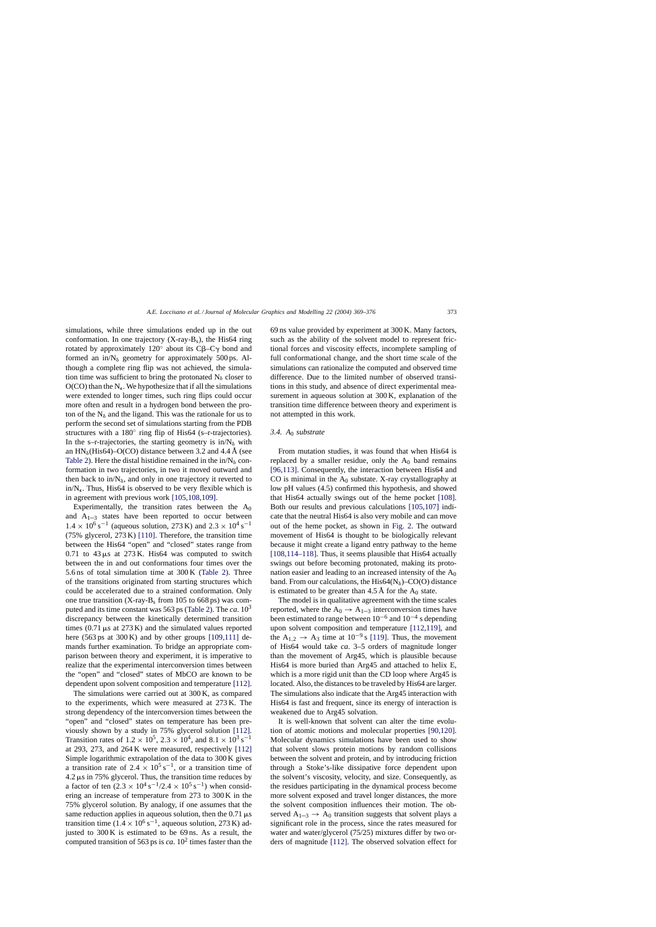simulations, while three simulations ended up in the out conformation. In one trajectory  $(X-ray-B<sub>s</sub>)$ , the His64 ring rotated by approximately 120 $\degree$  about its CB–C $\gamma$  bond and formed an in/ $N_{\delta}$  geometry for approximately 500 ps. Although a complete ring flip was not achieved, the simulation time was sufficient to bring the protonated  $N_{\delta}$  closer to  $O(CO)$  than the N<sub> $\epsilon$ </sub>. We hypothesize that if all the simulations were extended to longer times, such ring flips could occur more often and result in a hydrogen bond between the proton of the  $N_{\delta}$  and the ligand. This was the rationale for us to perform the second set of simulations starting from the PDB structures with a 180◦ ring flip of His64 (s–r-trajectories). In the s-r-trajectories, the starting geometry is in/ $N_{\delta}$  with an  $HN_{\delta}$ (His64)–O(CO) distance between 3.2 and 4.4 Å (see [Table 2\).](#page-3-0) Here the distal histidine remained in the in/ $N_{\delta}$  conformation in two trajectories, in two it moved outward and then back to in/ $N_{\delta}$ , and only in one trajectory it reverted to  $in/N_{\epsilon}$ . Thus, His64 is observed to be very flexible which is in agreement with previous work [\[105,108,109\].](#page-6-0)

Experimentally, the transition rates between the  $A_0$ and  $A_{1-3}$  states have been reported to occur between  $1.4 \times 10^{6}$  s<sup>-1</sup> (aqueous solution, 273 K) and  $2.3 \times 10^{4}$  s<sup>-1</sup> (75% glycerol, 273 K) [\[110\].](#page-6-0) Therefore, the transition time between the His64 "open" and "closed" states range from 0.71 to  $43 \mu s$  at  $273 \text{ K}$ . His64 was computed to switch between the in and out conformations four times over the 5.6 ns of total simulation time at 300 K ([Table 2\)](#page-3-0). Three of the transitions originated from starting structures which could be accelerated due to a strained conformation. Only one true transition  $(X-ray-B<sub>s</sub>$  from 105 to 668 ps) was computed and its time constant was 563 ps [\(Table 2\).](#page-3-0) The *ca*. 10<sup>3</sup> discrepancy between the kinetically determined transition times  $(0.71 \,\mu s$  at  $273 \,\mathrm{K})$  and the simulated values reported here  $(563 \text{ ps at } 300 \text{ K})$  and by other groups  $[109,111]$  demands further examination. To bridge an appropriate comparison between theory and experiment, it is imperative to realize that the experimental interconversion times between the "open" and "closed" states of MbCO are known to be dependent upon solvent composition and temperature [\[112\].](#page-6-0)

The simulations were carried out at 300 K, as compared to the experiments, which were measured at 273 K. The strong dependency of the interconversion times between the "open" and "closed" states on temperature has been previously shown by a study in 75% glycerol solution [\[112\].](#page-6-0) Transition rates of  $1.2 \times 10^5$ ,  $2.3 \times 10^4$ , and  $8.1 \times 10^3$  s<sup>-1</sup> at 293, 273, and 264 K were measured, respectively [\[112\]](#page-6-0) Simple logarithmic extrapolation of the data to 300 K gives a transition rate of 2.4  $\times$  10<sup>5</sup> s<sup>-1</sup>, or a transition time of  $4.2 \,\mu s$  in 75% glycerol. Thus, the transition time reduces by a factor of ten  $(2.3 \times 10^4 \text{ s}^{-1}/2.4 \times 10^5 \text{ s}^{-1})$  when considering an increase of temperature from 273 to 300 K in the 75% glycerol solution. By analogy, if one assumes that the same reduction applies in aqueous solution, then the  $0.71 \,\mu s$ transition time (1.4 × 10<sup>6</sup> s<sup>-1</sup>, aqueous solution, 273 K) adjusted to 300 K is estimated to be 69 ns. As a result, the computed transition of 563 ps is  $ca$ .  $10^2$  times faster than the

69 ns value provided by experiment at 300 K. Many factors, such as the ability of the solvent model to represent frictional forces and viscosity effects, incomplete sampling of full conformational change, and the short time scale of the simulations can rationalize the computed and observed time difference. Due to the limited number of observed transitions in this study, and absence of direct experimental measurement in aqueous solution at 300 K, explanation of the transition time difference between theory and experiment is not attempted in this work.

## *3.4. A*<sup>0</sup> *substrate*

From mutation studies, it was found that when His64 is replaced by a smaller residue, only the  $A_0$  band remains [\[96,113\].](#page-6-0) Consequently, the interaction between His64 and CO is minimal in the  $A_0$  substate. X-ray crystallography at low pH values (4.5) confirmed this hypothesis, and showed that His64 actually swings out of the heme pocket [\[108\].](#page-6-0) Both our results and previous calculations [\[105,107\]](#page-6-0) indicate that the neutral His64 is also very mobile and can move out of the heme pocket, as shown in [Fig. 2.](#page-3-0) The outward movement of His64 is thought to be biologically relevant because it might create a ligand entry pathway to the heme [\[108,114–118\].](#page-6-0) Thus, it seems plausible that His64 actually swings out before becoming protonated, making its protonation easier and leading to an increased intensity of the  $A_0$ band. From our calculations, the  $His64(N_6)-CO(O)$  distance is estimated to be greater than 4.5 Å for the  $A_0$  state.

The model is in qualitative agreement with the time scales reported, where the  $A_0 \rightarrow A_{1-3}$  interconversion times have been estimated to range between  $10^{-6}$  and  $10^{-4}$  s depending upon solvent composition and temperature [\[112,119\],](#page-6-0) and the A<sub>1,2</sub> → A<sub>3</sub> time at  $10^{-9}$  s [\[119\].](#page-7-0) Thus, the movement of His64 would take *ca*. 3–5 orders of magnitude longer than the movement of Arg45, which is plausible because His64 is more buried than Arg45 and attached to helix E, which is a more rigid unit than the CD loop where Arg45 is located. Also, the distances to be traveled by His64 are larger. The simulations also indicate that the Arg45 interaction with His64 is fast and frequent, since its energy of interaction is weakened due to Arg45 solvation.

It is well-known that solvent can alter the time evolution of atomic motions and molecular properties [\[90,120\].](#page-6-0) Molecular dynamics simulations have been used to show that solvent slows protein motions by random collisions between the solvent and protein, and by introducing friction through a Stoke's-like dissipative force dependent upon the solvent's viscosity, velocity, and size. Consequently, as the residues participating in the dynamical process become more solvent exposed and travel longer distances, the more the solvent composition influences their motion. The observed  $A_{1-3} \rightarrow A_0$  transition suggests that solvent plays a significant role in the process, since the rates measured for water and water/glycerol (75/25) mixtures differ by two orders of magnitude [\[112\].](#page-6-0) The observed solvation effect for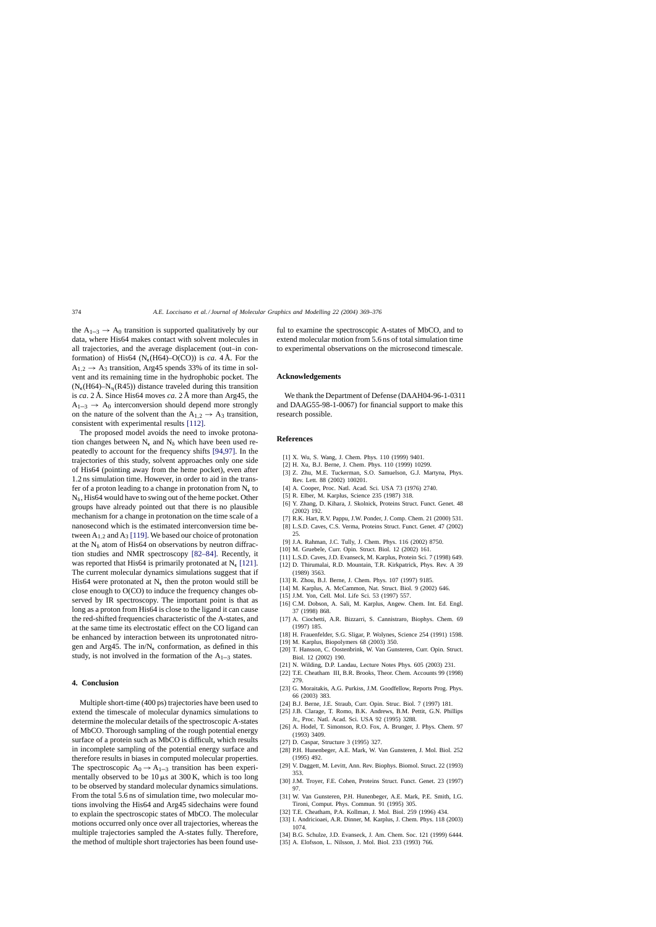<span id="page-5-0"></span>the  $A_{1-3} \rightarrow A_0$  transition is supported qualitatively by our data, where His64 makes contact with solvent molecules in all trajectories, and the average displacement (out–in conformation) of His64 ( $N_e$ (H64)–O(CO)) is *ca*. 4 Å. For the  $A_{1,2} \rightarrow A_3$  transition, Arg45 spends 33% of its time in solvent and its remaining time in the hydrophobic pocket. The  $(N_e(H64) - N_n(R45))$  distance traveled during this transition is *ca*. 2 Å. Since His64 moves *ca*. 2 Å more than Arg45, the  $A_{1-3} \rightarrow A_0$  interconversion should depend more strongly on the nature of the solvent than the  $A_{1,2} \rightarrow A_3$  transition, consistent with experimental results [\[112\].](#page-6-0)

The proposed model avoids the need to invoke protonation changes between  $N_{\epsilon}$  and  $N_{\delta}$  which have been used repeatedly to account for the frequency shifts [\[94,97\].](#page-6-0) In the trajectories of this study, solvent approaches only one side of His64 (pointing away from the heme pocket), even after 1.2 ns simulation time. However, in order to aid in the transfer of a proton leading to a change in protonation from  $N_{\epsilon}$  to  $N_{\delta}$ , His64 would have to swing out of the heme pocket. Other groups have already pointed out that there is no plausible mechanism for a change in protonation on the time scale of a nanosecond which is the estimated interconversion time between  $A_{1,2}$  and  $A_3$  [\[119\]. W](#page-7-0)e based our choice of protonation at the  $N_{\delta}$  atom of His64 on observations by neutron diffraction studies and NMR spectroscopy [\[82–84\].](#page-6-0) Recently, it was reported that His64 is primarily protonated at  $N_e$  [\[121\].](#page-7-0) The current molecular dynamics simulations suggest that if His64 were protonated at  $N_{\epsilon}$  then the proton would still be close enough to O(CO) to induce the frequency changes observed by IR spectroscopy. The important point is that as long as a proton from His64 is close to the ligand it can cause the red-shifted frequencies characteristic of the A-states, and at the same time its electrostatic effect on the CO ligand can be enhanced by interaction between its unprotonated nitrogen and Arg45. The in/ $N_{\epsilon}$  conformation, as defined in this study, is not involved in the formation of the  $A_{1-3}$  states.

## **4. Conclusion**

Multiple short-time (400 ps) trajectories have been used to extend the timescale of molecular dynamics simulations to determine the molecular details of the spectroscopic A-states of MbCO. Thorough sampling of the rough potential energy surface of a protein such as MbCO is difficult, which results in incomplete sampling of the potential energy surface and therefore results in biases in computed molecular properties. The spectroscopic  $A_0 \rightarrow A_{1-3}$  transition has been experimentally observed to be  $10 \mu s$  at 300 K, which is too long to be observed by standard molecular dynamics simulations. From the total 5.6 ns of simulation time, two molecular motions involving the His64 and Arg45 sidechains were found to explain the spectroscopic states of MbCO. The molecular motions occurred only once over all trajectories, whereas the multiple trajectories sampled the A-states fully. Therefore, the method of multiple short trajectories has been found useful to examine the spectroscopic A-states of MbCO, and to extend molecular motion from 5.6 ns of total simulation time to experimental observations on the microsecond timescale.

# **Acknowledgements**

We thank the Department of Defense (DAAH04-96-1-0311 and DAAG55-98-1-0067) for financial support to make this research possible.

#### **References**

- [1] X. Wu, S. Wang, J. Chem. Phys. 110 (1999) 9401.
- [2] H. Xu, B.J. Berne, J. Chem. Phys. 110 (1999) 10299.
- [3] Z. Zhu, M.E. Tuckerman, S.O. Samuelson, G.J. Martyna, Phys. Rev. Lett. 88 (2002) 100201.
- [4] A. Cooper, Proc. Natl. Acad. Sci. USA 73 (1976) 2740.
- [5] R. Elber, M. Karplus, Science 235 (1987) 318.
- [6] Y. Zhang, D. Kihara, J. Skolnick, Proteins Struct. Funct. Genet. 48 (2002) 192.
- [7] R.K. Hart, R.V. Pappu, J.W. Ponder, J. Comp. Chem. 21 (2000) 531.
- [8] L.S.D. Caves, C.S. Verma, Proteins Struct. Funct. Genet. 47 (2002) 25.
- [9] J.A. Rahman, J.C. Tully, J. Chem. Phys. 116 (2002) 8750.
- [10] M. Gruebele, Curr. Opin. Struct. Biol. 12 (2002) 161.
- [11] L.S.D. Caves, J.D. Evanseck, M. Karplus, Protein Sci. 7 (1998) 649.
- [12] D. Thirumalai, R.D. Mountain, T.R. Kirkpatrick, Phys. Rev. A 39 (1989) 3563.
- [13] R. Zhou, B.J. Berne, J. Chem. Phys. 107 (1997) 9185.
- [14] M. Karplus, A. McCammon, Nat. Struct. Biol. 9 (2002) 646.
- [15] J.M. Yon, Cell. Mol. Life Sci. 53 (1997) 557.
- [16] C.M. Dobson, A. Sali, M. Karplus, Angew. Chem. Int. Ed. Engl. 37 (1998) 868.
- [17] A. Ciochetti, A.R. Bizzarri, S. Cannistraro, Biophys. Chem. 69 (1997) 185.
- [18] H. Frauenfelder, S.G. Sligar, P. Wolynes, Science 254 (1991) 1598.
- [19] M. Karplus, Biopolymers 68 (2003) 350.
- [20] T. Hansson, C. Oostenbrink, W. Van Gunsteren, Curr. Opin. Struct. Biol. 12 (2002) 190.
- [21] N. Wilding, D.P. Landau, Lecture Notes Phys. 605 (2003) 231.
- [22] T.E. Cheatham III, B.R. Brooks, Theor. Chem. Accounts 99 (1998) 279.
- [23] G. Moraitakis, A.G. Purkiss, J.M. Goodfellow, Reports Prog. Phys. 66 (2003) 383.
- [24] B.J. Berne, J.E. Straub, Curr. Opin. Struc. Biol. 7 (1997) 181.
- [25] J.B. Clarage, T. Romo, B.K. Andrews, B.M. Pettit, G.N. Phillips Jr., Proc. Natl. Acad. Sci. USA 92 (1995) 3288.
- [26] A. Hodel, T. Simonson, R.O. Fox, A. Brunger, J. Phys. Chem. 97 (1993) 3409.
- [27] D. Caspar, Structure 3 (1995) 327.
- [28] P.H. Hunenbeger, A.E. Mark, W. Van Gunsteren, J. Mol. Biol. 252 (1995) 492.
- [29] V. Daggett, M. Levitt, Ann. Rev. Biophys. Biomol. Struct. 22 (1993) 353.
- [30] J.M. Troyer, F.E. Cohen, Proteins Struct. Funct. Genet. 23 (1997) 97.
- [31] W. Van Gunsteren, P.H. Hunenbeger, A.E. Mark, P.E. Smith, I.G. Tironi, Comput. Phys. Commun. 91 (1995) 305.
- [32] T.E. Cheatham, P.A. Kollman, J. Mol. Biol. 259 (1996) 434.
- [33] I. Andricioaei, A.R. Dinner, M. Karplus, J. Chem. Phys. 118 (2003) 1074.
- [34] B.G. Schulze, J.D. Evanseck, J. Am. Chem. Soc. 121 (1999) 6444.
- [35] A. Elofsson, L. Nilsson, J. Mol. Biol. 233 (1993) 766.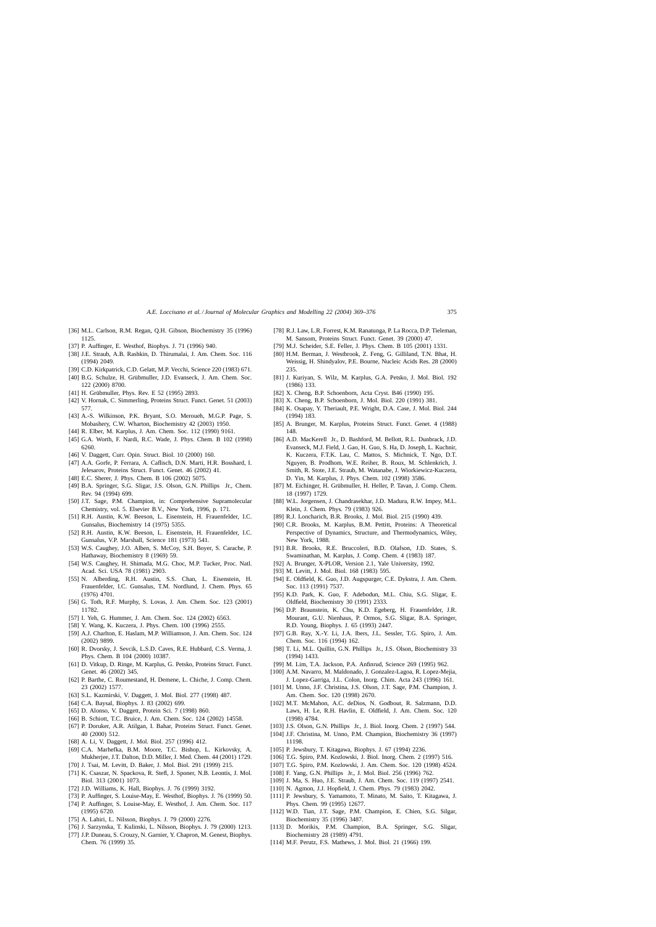- <span id="page-6-0"></span>[36] M.L. Carlson, R.M. Regan, Q.H. Gibson, Biochemistry 35 (1996) 1125.
- [37] P. Auffinger, E. Westhof, Biophys. J. 71 (1996) 940.
- [38] J.E. Straub, A.B. Rashkin, D. Thirumalai, J. Am. Chem. Soc. 116 (1994) 2049.
- [39] C.D. Kirkpatrick, C.D. Gelatt, M.P. Vecchi, Science 220 (1983) 671.
- [40] B.G. Schulze, H. Grübmuller, J.D. Evanseck, J. Am. Chem. Soc. 122 (2000) 8700.
- [41] H. Grübmuller, Phys. Rev. E 52 (1995) 2893.
- [42] V. Hornak, C. Simmerling, Proteins Struct. Funct. Genet. 51 (2003) 577.
- [43] A.-S. Wilkinson, P.K. Bryant, S.O. Meroueh, M.G.P. Page, S. Mobashery, C.W. Wharton, Biochemistry 42 (2003) 1950.
- [44] R. Elber, M. Karplus, J. Am. Chem. Soc. 112 (1990) 9161.
- [45] G.A. Worth, F. Nardi, R.C. Wade, J. Phys. Chem. B 102 (1998) 6260.
- [46] V. Daggett, Curr. Opin. Struct. Biol. 10 (2000) 160.
- [47] A.A. Gorfe, P. Ferrara, A. Caflisch, D.N. Marti, H.R. Bosshard, I. Jelesarov, Proteins Struct. Funct. Genet. 46 (2002) 41.
- [48] E.C. Sherer, J. Phys. Chem. B 106 (2002) 5075.
- [49] B.A. Springer, S.G. Sligar, J.S. Olson, G.N. Phillips Jr., Chem. Rev. 94 (1994) 699.
- [50] J.T. Sage, P.M. Champion, in: Comprehensive Supramolecular Chemistry, vol. 5. Elsevier B.V., New York, 1996, p. 171.
- [51] R.H. Austin, K.W. Beeson, L. Eisenstein, H. Frauenfelder, I.C. Gunsalus, Biochemistry 14 (1975) 5355.
- [52] R.H. Austin, K.W. Beeson, L. Eisenstein, H. Frauenfelder, I.C. Gunsalus, V.P. Marshall, Science 181 (1973) 541.
- [53] W.S. Caughey, J.O. Alben, S. McCoy, S.H. Boyer, S. Carache, P. Hathaway, Biochemistry 8 (1969) 59.
- [54] W.S. Caughey, H. Shimada, M.G. Choc, M.P. Tucker, Proc. Natl. Acad. Sci. USA 78 (1981) 2903.
- [55] N. Alberding, R.H. Austin, S.S. Chan, L. Eisenstein, H. Frauenfelder, I.C. Gunsalus, T.M. Nordlund, J. Chem. Phys. 65 (1976) 4701.
- [56] G. Toth, R.F. Murphy, S. Lovas, J. Am. Chem. Soc. 123 (2001) 11782.
- [57] I. Yeh, G. Hummer, J. Am. Chem. Soc. 124 (2002) 6563.
- [58] Y. Wang, K. Kuczera, J. Phys. Chem. 100 (1996) 2555.
- [59] A.J. Charlton, E. Haslam, M.P. Williamson, J. Am. Chem. Soc. 124 (2002) 9899.
- [60] R. Dvorsky, J. Sevcik, L.S.D. Caves, R.E. Hubbard, C.S. Verma, J. Phys. Chem. B 104 (2000) 10387.
- [61] D. Vitkup, D. Ringe, M. Karplus, G. Petsko, Proteins Struct. Funct. Genet. 46 (2002) 345.
- [62] P. Barthe, C. Roumestand, H. Demene, L. Chiche, J. Comp. Chem. 23 (2002) 1577.
- [63] S.L. Kazmirski, V. Daggett, J. Mol. Biol. 277 (1998) 487.
- [64] C.A. Baysal, Biophys. J. 83 (2002) 699.
- [65] D. Alonso, V. Daggett, Protein Sci. 7 (1998) 860.
- [66] B. Schiott, T.C. Bruice, J. Am. Chem. Soc. 124 (2002) 14558.
- [67] P. Doruker, A.R. Atilgan, I. Bahar, Proteins Struct. Funct. Genet. 40 (2000) 512.
- [68] A. Li, V. Daggett, J. Mol. Biol. 257 (1996) 412.
- [69] C.A. Marhefka, B.M. Moore, T.C. Bishop, L. Kirkovsky, A. Mukherjee, J.T. Dalton, D.D. Miller, J. Med. Chem. 44 (2001) 1729.
- [70] J. Tsai, M. Levitt, D. Baker, J. Mol. Biol. 291 (1999) 215.
- [71] K. Csaszar, N. Spackova, R. Stefl, J. Sponer, N.B. Leontis, J. Mol. Biol. 313 (2001) 1073.
- [72] J.D. Williams, K. Hall, Biophys. J. 76 (1999) 3192.
- [73] P. Auffinger, S. Louise-May, E. Westhof, Biophys. J. 76 (1999) 50. [74] P. Auffinger, S. Louise-May, E. Westhof, J. Am. Chem. Soc. 117 (1995) 6720.
- [75] A. Lahiri, L. Nilsson, Biophys. J. 79 (2000) 2276.
- [76] J. Sarzynska, T. Kulinski, L. Nilsson, Biophys. J. 79 (2000) 1213.
- [77] J.P. Duneau, S. Crouzy, N. Garnier, Y. Chapron, M. Genest, Biophys. Chem. 76 (1999) 35.
- [78] R.J. Law, L.R. Forrest, K.M. Ranatunga, P. La Rocca, D.P. Tieleman, M. Sansom, Proteins Struct. Funct. Genet. 39 (2000) 47.
- [79] M.J. Scheider, S.E. Feller, J. Phys. Chem. B 105 (2001) 1331.
- [80] H.M. Berman, J. Westbrook, Z. Feng, G. Gilliland, T.N. Bhat, H. Weissig, H. Shindyalov, P.E. Bourne, Nucleic Acids Res. 28 (2000) 235.
- [81] J. Kuriyan, S. Wilz, M. Karplus, G.A. Petsko, J. Mol. Biol. 192 (1986) 133.
- [82] X. Cheng, B.P. Schoenborn, Acta Cryst. B46 (1990) 195.
- [83] X. Cheng, B.P. Schoenborn, J. Mol. Biol. 220 (1991) 381.
- [84] K. Osapay, Y. Theriault, P.E. Wright, D.A. Case, J. Mol. Biol. 244 (1994) 183.
- [85] A. Brunger, M. Karplus, Proteins Struct. Funct. Genet. 4 (1988) 148.
- [86] A.D. MacKerell Jr., D. Bashford, M. Bellott, R.L. Dunbrack, J.D. Evanseck, M.J. Field, J. Gao, H. Guo, S. Ha, D. Joseph, L. Kuchnir, K. Kuczera, F.T.K. Lau, C. Mattos, S. Michnick, T. Ngo, D.T. Nguyen, B. Prodhom, W.E. Reiher, B. Roux, M. Schlenkrich, J. Smith, R. Stote, J.E. Straub, M. Watanabe, J. Wiorkiewicz-Kuczera, D. Yin, M. Karplus, J. Phys. Chem. 102 (1998) 3586.
- [87] M. Eichinger, H. Grübmuller, H. Heller, P. Tavan, J. Comp. Chem. 18 (1997) 1729.
- [88] W.L. Jorgensen, J. Chandrasekhar, J.D. Madura, R.W. Impey, M.L. Klein, J. Chem. Phys. 79 (1983) 926.
- [89] R.J. Loncharich, B.R. Brooks, J. Mol. Biol. 215 (1990) 439.
- [90] C.R. Brooks, M. Karplus, B.M. Pettitt, Proteins: A Theoretical Perspective of Dynamics, Structure, and Thermodynamics, Wiley, New York, 1988.
- [91] B.R. Brooks, R.E. Bruccoleri, B.D. Olafson, J.D. States, S. Swaminathan, M. Karplus, J. Comp. Chem. 4 (1983) 187.
- [92] A. Brunger, X-PLOR, Version 2.1, Yale University, 1992.
- [93] M. Levitt, J. Mol. Biol. 168 (1983) 595.
- [94] E. Oldfield, K. Guo, J.D. Augspurger, C.E. Dykstra, J. Am. Chem. Soc. 113 (1991) 7537.
- [95] K.D. Park, K. Guo, F. Adebodun, M.L. Chiu, S.G. Sligar, E. Oldfield, Biochemistry 30 (1991) 2333.
- [96] D.P. Braunstein, K. Chu, K.D. Egeberg, H. Frauenfelder, J.R. Mourant, G.U. Nienhaus, P. Ormos, S.G. Sligar, B.A. Springer, R.D. Young, Biophys. J. 65 (1993) 2447.
- [97] G.B. Ray, X.-Y. Li, J.A. Ibers, J.L. Sessler, T.G. Spiro, J. Am. Chem. Soc. 116 (1994) 162.
- [98] T. Li, M.L. Quillin, G.N. Phillips Jr., J.S. Olson, Biochemistry 33 (1994) 1433.
- [99] M. Lim, T.A. Jackson, P.A. Anfinrud, Science 269 (1995) 962.
- [100] A.M. Navarro, M. Maldonado, J. Gonzalez-Lagoa, R. Lopez-Mejia, J. Lopez-Garriga, J.L. Colon, Inorg. Chim. Acta 243 (1996) 161.
- [101] M. Unno, J.F. Christina, J.S. Olson, J.T. Sage, P.M. Champion, J. Am. Chem. Soc. 120 (1998) 2670.
- [102] M.T. McMahon, A.C. deDios, N. Godbout, R. Salzmann, D.D. Laws, H. Le, R.H. Havlin, E. Oldfield, J. Am. Chem. Soc. 120 (1998) 4784.
- [103] J.S. Olson, G.N. Phillips Jr., J. Biol. Inorg. Chem. 2 (1997) 544.
- [104] J.F. Christina, M. Unno, P.M. Champion, Biochemistry 36 (1997) 11198.
- [105] P. Jewsbury, T. Kitagawa, Biophys. J. 67 (1994) 2236.
- [106] T.G. Spiro, P.M. Kozlowski, J. Biol. Inorg. Chem. 2 (1997) 516.
- [107] T.G. Spiro, P.M. Kozlowski, J. Am. Chem. Soc. 120 (1998) 4524.
- [108] F. Yang, G.N. Phillips Jr., J. Mol. Biol. 256 (1996) 762.
- [109] J. Ma, S. Huo, J.E. Straub, J. Am. Chem. Soc. 119 (1997) 2541.
- [110] N. Agmon, J.J. Hopfield, J. Chem. Phys. 79 (1983) 2042.
- [111] P. Jewsbury, S. Yamamoto, T. Minato, M. Saito, T. Kitagawa, J. Phys. Chem. 99 (1995) 12677.
- [112] W.D. Tian, J.T. Sage, P.M. Champion, E. Chien, S.G. Silgar, Biochemistry 35 (1996) 3487.
- [113] D. Morikis, P.M. Champion, B.A. Springer, S.G. Sligar, Biochemistry 28 (1989) 4791.
- [114] M.F. Perutz, F.S. Mathews, J. Mol. Biol. 21 (1966) 199.